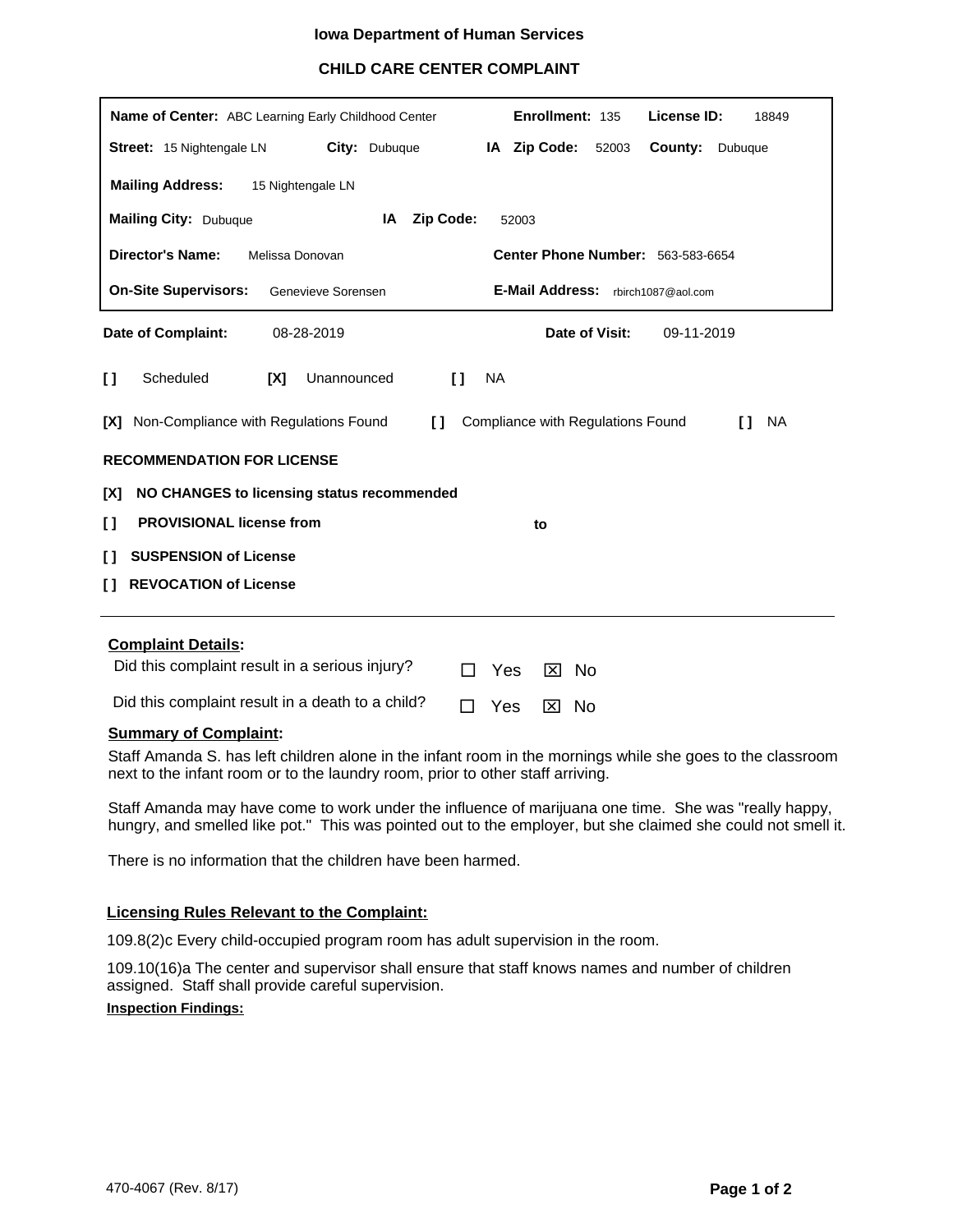## **Iowa Department of Human Services**

# **CHILD CARE CENTER COMPLAINT**

| Enrollment: 135<br>License ID:<br>Name of Center: ABC Learning Early Childhood Center<br>18849                      |  |  |  |  |  |
|---------------------------------------------------------------------------------------------------------------------|--|--|--|--|--|
| IA Zip Code:<br>City: Dubuque<br>County:<br><b>Street:</b> 15 Nightengale LN<br>52003<br>Dubuque                    |  |  |  |  |  |
| <b>Mailing Address:</b><br>15 Nightengale LN                                                                        |  |  |  |  |  |
| <b>Mailing City: Dubuque</b><br>IA<br><b>Zip Code:</b><br>52003                                                     |  |  |  |  |  |
| <b>Director's Name:</b><br><b>Center Phone Number: 563-583-6654</b><br>Melissa Donovan                              |  |  |  |  |  |
| <b>E-Mail Address:</b><br><b>On-Site Supervisors:</b><br>Genevieve Sorensen<br>rbirch1087@aol.com                   |  |  |  |  |  |
| Date of Visit:<br>Date of Complaint:<br>08-28-2019<br>09-11-2019                                                    |  |  |  |  |  |
| Scheduled<br>[X]<br>Unannounced<br>$\mathbf{I}$<br><b>NA</b><br>I)                                                  |  |  |  |  |  |
| Non-Compliance with Regulations Found<br>Compliance with Regulations Found<br><b>NA</b><br>TX1<br>$\mathbf{L}$<br>n |  |  |  |  |  |
| <b>RECOMMENDATION FOR LICENSE</b>                                                                                   |  |  |  |  |  |
| NO CHANGES to licensing status recommended<br>[X]                                                                   |  |  |  |  |  |
| <b>PROVISIONAL license from</b><br>$\mathbf{I}$<br>to                                                               |  |  |  |  |  |
| <b>SUSPENSION of License</b><br>$\mathbf{L}$                                                                        |  |  |  |  |  |
| <b>REVOCATION of License</b><br>$\mathbf{L}$                                                                        |  |  |  |  |  |
| والمفوات فيبلونه                                                                                                    |  |  |  |  |  |

#### **Complaint Details:**

| Did this complaint result in a serious injury?   | $\Box$ Yes $\boxtimes$ No |  |
|--------------------------------------------------|---------------------------|--|
| Did this complaint result in a death to a child? | $\Box$ Yes $\boxtimes$ No |  |

### **Summary of Complaint:**

Staff Amanda S. has left children alone in the infant room in the mornings while she goes to the classroom next to the infant room or to the laundry room, prior to other staff arriving.

Staff Amanda may have come to work under the influence of marijuana one time. She was "really happy, hungry, and smelled like pot." This was pointed out to the employer, but she claimed she could not smell it.

There is no information that the children have been harmed.

#### **Licensing Rules Relevant to the Complaint:**

109.8(2)c Every child-occupied program room has adult supervision in the room.

**Inspection Findings:** 109.10(16)a The center and supervisor shall ensure that staff knows names and number of children assigned. Staff shall provide careful supervision.